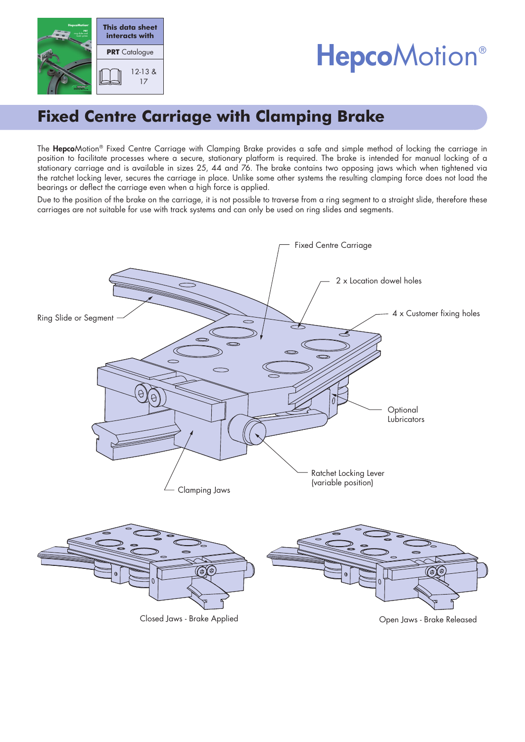

# **HepcoMotion®**

# **Fixed Centre Carriage with Clamping Brake**

The HepcoMotion® Fixed Centre Carriage with Clamping Brake provides a safe and simple method of locking the carriage in position to facilitate processes where a secure, stationary platform is required. The brake is intended for manual locking of a stationary carriage and is available in sizes 25, 44 and 76. The brake contains two opposing jaws which when tightened via the ratchet locking lever, secures the carriage in place. Unlike some other systems the resulting clamping force does not load the bearings or deflect the carriage even when a high force is applied.

Due to the position of the brake on the carriage, it is not possible to traverse from a ring segment to a straight slide, therefore these carriages are not suitable for use with track systems and can only be used on ring slides and segments.

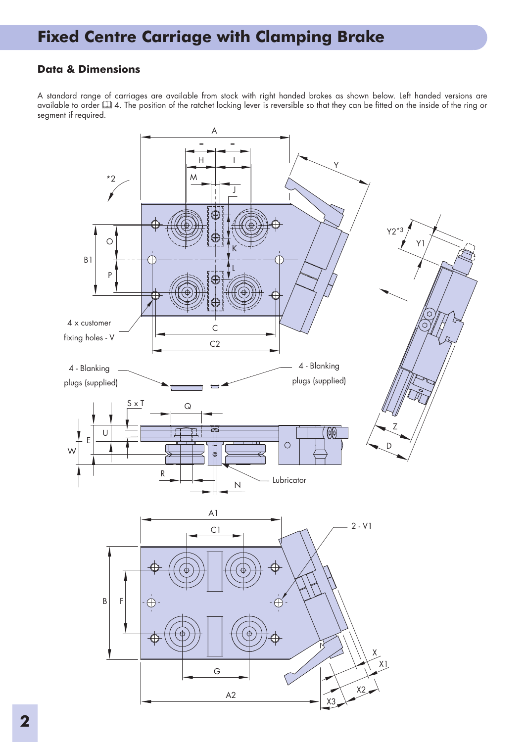# **Fixed Centre Carriage with Clamping Brake**

### **Data & Dimensions**

A standard range of carriages are available from stock with right handed brakes as shown below. Left handed versions are available to order 4. The position of the ratchet locking lever is reversible so that they can be fitted on the inside of the ring or segment if required.

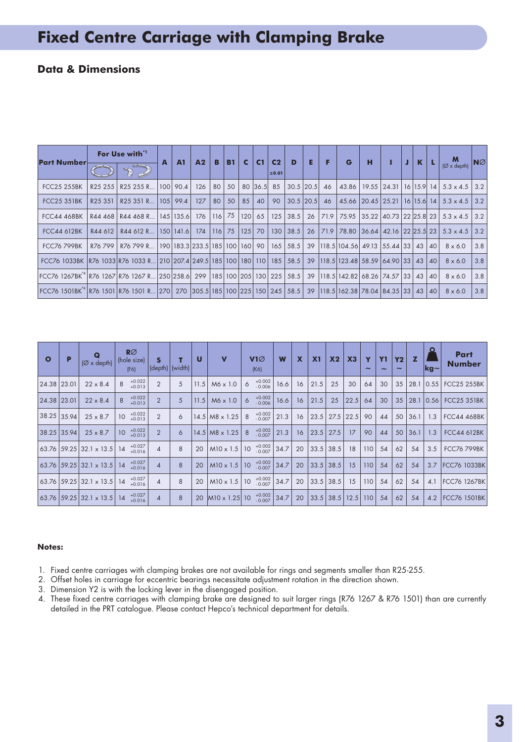# **Fixed Centre Carriage with Clamping Brake**

### **Data & Dimensions**

| <b>Part Number-</b>                                                                                    | For Use with <sup>'1</sup> |                                                                                                          | A | A <sub>1</sub> | A <sub>2</sub> | B    | <b>B1</b>     | <b>C</b>   | C <sub>1</sub> | C <sub>2</sub> | D            | Е  | F  | G                                                  | н | J | K |    | M                                                        | $N\varnothing$ |
|--------------------------------------------------------------------------------------------------------|----------------------------|----------------------------------------------------------------------------------------------------------|---|----------------|----------------|------|---------------|------------|----------------|----------------|--------------|----|----|----------------------------------------------------|---|---|---|----|----------------------------------------------------------|----------------|
|                                                                                                        |                            | $\bigcirc$                                                                                               |   |                |                |      |               |            |                | ±0.01          |              |    |    |                                                    |   |   |   |    | $(\varnothing \times \text{depth})$                      |                |
| <b>FCC25 255BK</b>                                                                                     | R <sub>25</sub> 255        | R25 255 R   100   90.4                                                                                   |   |                | 126            | 80   | 50            |            |                | 80 36.5 85     | $30.5$  20.5 |    | 46 |                                                    |   |   |   |    | 43.86   19.55   24.31   16   15.9   14   5.3 x 4.5   3.2 |                |
| <b>FCC25 351BK</b>                                                                                     | R <sub>25</sub> 351        | R25 351 R 105 99.4                                                                                       |   |                | 127            | 80 l | 50            | $85 \mid$  | 40             | 90             | $30.5$  20.5 |    | 46 |                                                    |   |   |   |    | 45.66 20.45 25.21 16 15.6 14 5.3 x 4.5 3.2               |                |
| <b>FCC44 468BK</b>                                                                                     |                            | R44 468 R44 468 R 145 135.6 176                                                                          |   |                |                |      | $116$ 75      | $ 120 $ 65 |                | 125            | 38.5         | 26 |    |                                                    |   |   |   |    | $ 71.9 75.95 35.22 40.73 22 25.8 23 5.3 \times 4.5 3.2 $ |                |
| <b>FCC44 612BK</b>                                                                                     | R44 612                    | R44 612 R., 150 141.6                                                                                    |   |                | 174            |      | 116 75 125 70 |            |                | 130            | 38.5         |    |    | 26 71.9 78.80 36.64 42.16 22 25.5 23               |   |   |   |    | $5.3 \times 4.5$ 3.2                                     |                |
| <b>FCC76 799BK</b>                                                                                     | R76 799                    | R76 799 R   190  183.3  233.5  185  100  160  90  165  58.5  39  118.5  104.56  49.13  55.44  33  43  40 |   |                |                |      |               |            |                |                |              |    |    |                                                    |   |   |   |    | $8 \times 6.0$                                           | 3.8            |
| FCC76 1033BK R76 1033 R76 1033 R 210 207.4 249.5 185 100 180 110 185                                   |                            |                                                                                                          |   |                |                |      |               |            |                |                | 58.5         |    |    | 39   118.5   123.48   58.59   64.90   33   43   40 |   |   |   |    | $8 \times 6.0$                                           | 3.8            |
| FCC76 1267BK <sup>*4</sup>  R76 1267 R76 1267 R… 250 258.6  299  185 100 205 130  225                  |                            |                                                                                                          |   |                |                |      |               |            |                |                | 58.5         |    |    | 39   118.5   142.82   68.26   74.57   33   43   40 |   |   |   |    | $8 \times 6.0$                                           | 3.8            |
| FCC76 1501BK <sup>4</sup>  R76 1501  R76 1501 R  270   270  305.5   185   100   225   150   245   58.5 |                            |                                                                                                          |   |                |                |      |               |            |                |                |              |    |    | 39   118.5   162.38   78.04   84.35   33   43      |   |   |   | 40 | $8 \times 6.0$                                           | 3.8            |

| $\circ$       | $(\emptyset \times \text{depth})$ | $R\varnothing$<br>(hole size)<br>(F6) |                | $\left(\text{depth}\right)\left[\text{width}\right]$ | U    | $\mathbf v$                  | $V1\varnothing$<br>(K6)                 | W    | X  | X <sub>1</sub> | X <sub>2</sub> | X3   | $\overline{\phantom{a}}$ | <b>Y1</b><br>$\tilde{\phantom{a}}$ | <b>Y2</b><br>$\tilde{}$ | z    | $ {\bf kq} -$ | Part<br><b>Number</b> |
|---------------|-----------------------------------|---------------------------------------|----------------|------------------------------------------------------|------|------------------------------|-----------------------------------------|------|----|----------------|----------------|------|--------------------------|------------------------------------|-------------------------|------|---------------|-----------------------|
| 24.38 23.01   | $22 \times 8.4$                   | $+0.022$<br>$+0.013$                  | $\overline{2}$ | 5                                                    | 11.5 | $M6 \times 1.0$              | $+0.002$<br>$- 0.006$<br>6              | 16.6 | 16 | 21.5           | 25             | 30   | 64                       | 30                                 | 35                      | 28.1 | 0.55          | <b>FCC25 255BK</b>    |
| $24.38$ 23.01 | $22 \times 8.4$                   | $+0.022$<br>$+0.013$                  | $\overline{2}$ | 5                                                    | 11.5 | $M6 \times 1.0$              | $+0.002$<br>6<br>$-0.006$               | 16.6 | 16 | 21.5           | 25             | 22.5 | 64                       | 30                                 | 35                      | 28.1 | 0.56          | <b>FCC25 351BK</b>    |
| 38.25 35.94   | $25 \times 8.7$                   | $+0.022$<br>10<br>$+0.013$            | $\overline{2}$ | 6                                                    |      | $14.5$ M <sub>8</sub> x 1.25 | $+0.002$<br>$-0.007$<br>-8              | 21.3 | 16 | 23.5           | 27.5           | 22.5 | 90                       | 44                                 | 50                      | 36.1 | 1.3           | <b>FCC44 468BK</b>    |
| $38.25$ 35.94 | $25 \times 8.7$                   | $+0.022$<br>10<br>$+0.013$            | $\overline{2}$ | 6                                                    |      | $14.5$ M <sub>8</sub> x 1.25 | $+0.002$<br>$-0.007$                    | 21.3 | 16 | 23.5           | 27.5           | 17   | 90                       | 44                                 | 50                      | 36.1 | 1.3           | <b>FCC44 612BK</b>    |
|               | $ 63.76 59.25 32.1 \times 13.5 $  | $+0.027$<br>14<br>$+0.016$            | 4              | 8                                                    | 20   | $M10 \times 1.5$             | $+0.002$<br>10 <sup>°</sup><br>$-0.007$ | 34.7 | 20 |                | $33.5$ 38.5    | 18   | 110                      | 54                                 | 62                      | 54   | 3.5           | <b>FCC76 799BK</b>    |
|               | $ 63.76 59.25 32.1 \times 13.5 $  | $+0.027$<br>14<br>$+0.016$            | 4              | 8                                                    | 20   | $M10 \times 1.5$             | $+0.002$<br>10<br>$-0.007$              | 34.7 | 20 |                | $33.5$ 38.5    | 15   | 110                      | 54                                 | 62                      | 54   | 3.7           | <b>FCC76 1033BK</b>   |
|               | $ 63.76 59.25 32.1 \times 13.5 $  | $+0.027$<br>14<br>$+0.016$            | 4              | 8                                                    | 20   | $M10 \times 1.5$             | $+0.002$<br>10<br>$-0.007$              | 34.7 | 20 |                | $33.5$ 38.5    | 15   | 110                      | 54                                 | 62                      | 54   | 4.1           | <b>FCC76 1267BK</b>   |
|               | 63.76   59.25   32.1 x 13.5   14  | $+0.027$<br>$+0.016$                  | 4              | 8                                                    | 20   | $M10 \times 1.25$            | $+0.002$<br>10<br>$-0.007$              | 34.7 | 20 |                | $33.5$ 38.5    | 12.5 | 110                      | 54                                 | 62                      | 54   | 4.2           | <b>FCC76 1501BK</b>   |

#### **Notes:**

- 1. Fixed centre carriages with clamping brakes are not available for rings and segments smaller than R25-255.
- 2. Offset holes in carriage for eccentric bearings necessitate adjustment rotation in the direction shown.
- 3. Dimension Y2 is with the locking lever in the disengaged position.
- 4. These fixed centre carriages with clamping brake are designed to suit larger rings (R76 1267 & R76 1501) than are currently detailed in the PRT catalogue. Please contact Hepco's technical department for details.